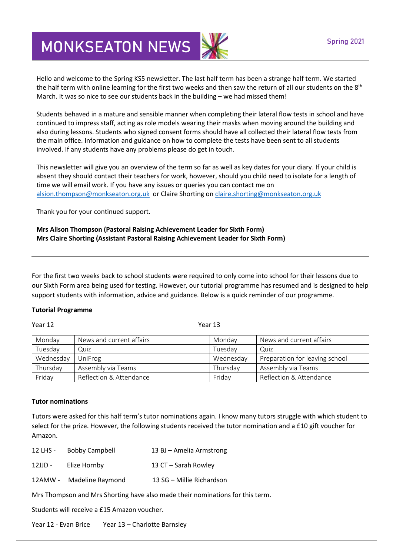# **MONKSEATON NEWS**

Hello and welcome to the Spring KS5 newsletter. The last half term has been a strange half term. We started the half term with online learning for the first two weeks and then saw the return of all our students on the 8<sup>th</sup> March. It was so nice to see our students back in the building – we had missed them!

Students behaved in a mature and sensible manner when completing their lateral flow tests in school and have continued to impress staff, acting as role models wearing their masks when moving around the building and also during lessons. Students who signed consent forms should have all collected their lateral flow tests from the main office. Information and guidance on how to complete the tests have been sent to all students involved. If any students have any problems please do get in touch.

This newsletter will give you an overview of the term so far as well as key dates for your diary. If your child is absent they should contact their teachers for work, however, should you child need to isolate for a length of time we will email work. If you have any issues or queries you can contact me on [alsion.thompson@monkseaton.org.uk](mailto:alsion.thompson@monkseaton.org.uk) or Claire Shorting on [claire.shorting@monkseaton.org.uk](mailto:claire.shorting@monkseaton.org.uk)

Thank you for your continued support.

**Mrs Alison Thompson (Pastoral Raising Achievement Leader for Sixth Form) Mrs Claire Shorting (Assistant Pastoral Raising Achievement Leader for Sixth Form)**

For the first two weeks back to school students were required to only come into school for their lessons due to our Sixth Form area being used for testing. However, our tutorial programme has resumed and is designed to help support students with information, advice and guidance. Below is a quick reminder of our programme.

# **Tutorial Programme**

### Year 12 Year 13

| Monday    | News and current affairs | Monday    | News and current affairs       |
|-----------|--------------------------|-----------|--------------------------------|
| Tuesday   | Quiz                     | Tuesdav   | Quiz                           |
| Wednesday | UniFrog                  | Wednesday | Preparation for leaving school |
| Thursday  | Assembly via Teams       | Thursday  | Assembly via Teams             |
| Friday    | Reflection & Attendance  | Friday    | Reflection & Attendance        |

# **Tutor nominations**

Tutors were asked for this half term's tutor nominations again. I know many tutors struggle with which student to select for the prize. However, the following students received the tutor nomination and a £10 gift voucher for Amazon.

| 12 LHS - | <b>Bobby Campbell</b> | 13 BJ - Amelia Armstrong |
|----------|-----------------------|--------------------------|
|----------|-----------------------|--------------------------|

| 12JJD - | Elize Hornby | 13 CT - Sarah Rowley |
|---------|--------------|----------------------|
|---------|--------------|----------------------|

12AMW - Madeline Raymond 13 SG – Millie Richardson

Mrs Thompson and Mrs Shorting have also made their nominations for this term.

Students will receive a £15 Amazon voucher.

Year 12 - Evan Brice Year 13 – Charlotte Barnsley